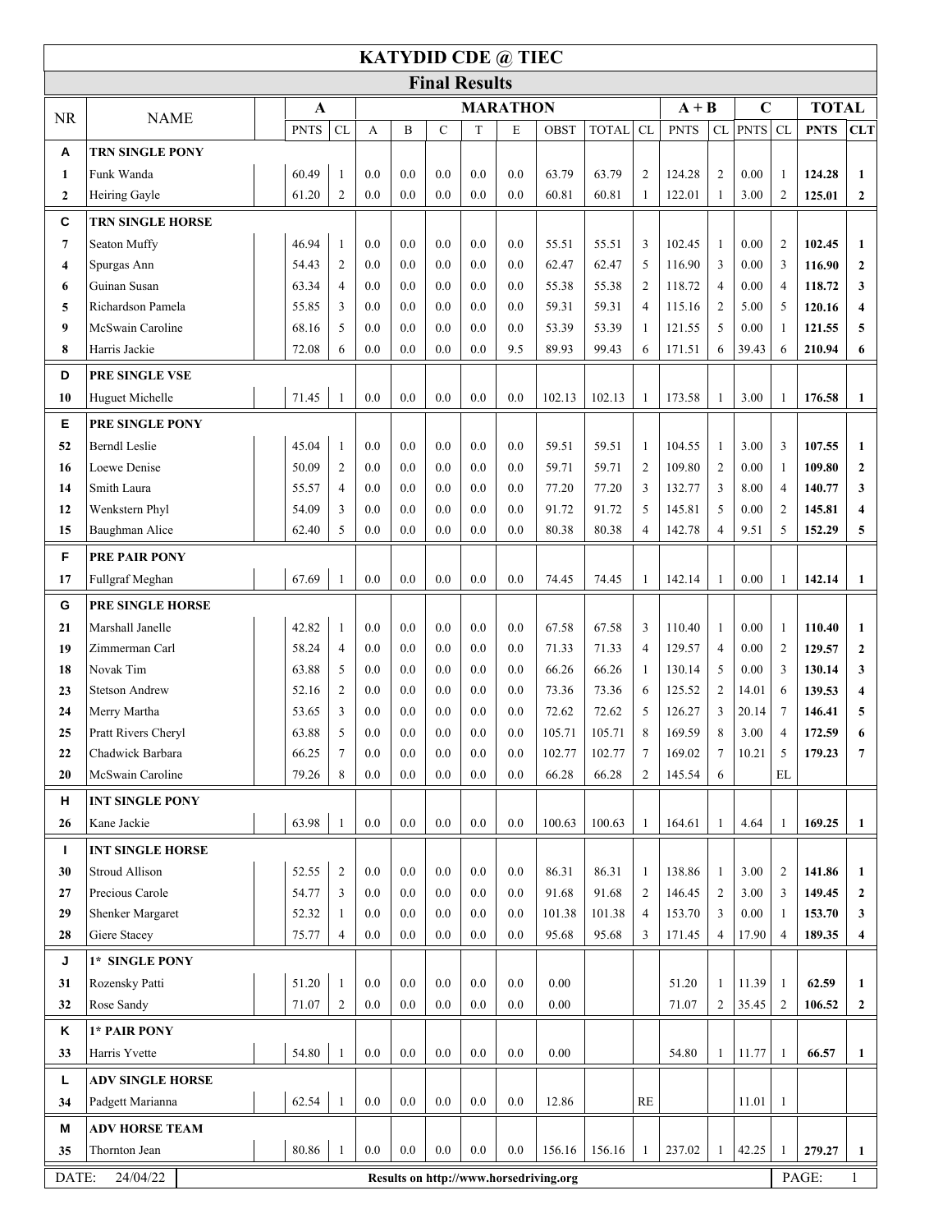| <b>KATYDID CDE @ TIEC</b> |                                      |                         |     |                 |             |                      |     |                                        |              |                |             |                |             |                |             |                  |
|---------------------------|--------------------------------------|-------------------------|-----|-----------------|-------------|----------------------|-----|----------------------------------------|--------------|----------------|-------------|----------------|-------------|----------------|-------------|------------------|
|                           |                                      |                         |     |                 |             | <b>Final Results</b> |     |                                        |              |                |             |                |             |                |             |                  |
| <b>NR</b>                 | <b>NAME</b>                          | A                       |     | <b>MARATHON</b> |             |                      |     |                                        |              |                | $A + B$     |                | $\mathbf C$ | <b>TOTAL</b>   |             |                  |
|                           |                                      | CL<br><b>PNTS</b>       | А   | B               | $\mathbf C$ | T                    | E   | <b>OBST</b>                            | <b>TOTAL</b> | CL             | <b>PNTS</b> |                | CL PNTS     | CL             | <b>PNTS</b> | <b>CLT</b>       |
| Α                         | <b>TRN SINGLE PONY</b>               |                         |     |                 |             |                      |     |                                        |              |                |             |                |             |                |             |                  |
| $\mathbf{1}$              | Funk Wanda                           | 60.49<br>$\overline{1}$ | 0.0 | 0.0             | 0.0         | 0.0                  | 0.0 | 63.79                                  | 63.79        | 2              | 124.28      | $\overline{2}$ | 0.00        | 1              | 124.28      | 1                |
| $\mathbf{2}$              | Heiring Gayle                        | $\overline{c}$<br>61.20 | 0.0 | 0.0             | 0.0         | 0.0                  | 0.0 | 60.81                                  | 60.81        | $\mathbf{1}$   | 122.01      | 1              | 3.00        | $\overline{2}$ | 125.01      | $\mathbf{2}$     |
| C                         | <b>TRN SINGLE HORSE</b>              |                         |     |                 |             |                      |     |                                        |              |                |             |                |             |                |             |                  |
| $\overline{7}$            | Seaton Muffy                         | 46.94<br>$\mathbf{1}$   | 0.0 | 0.0             | 0.0         | 0.0                  | 0.0 | 55.51                                  | 55.51        | 3              | 102.45      | -1             | 0.00        | $\overline{2}$ | 102.45      | 1                |
| 4                         | Spurgas Ann                          | $\overline{2}$<br>54.43 | 0.0 | 0.0             | 0.0         | 0.0                  | 0.0 | 62.47                                  | 62.47        | 5              | 116.90      | 3              | 0.00        | 3              | 116.90      | $\mathbf{2}$     |
| 6                         | Guinan Susan                         | 63.34<br>4              | 0.0 | 0.0             | 0.0         | 0.0                  | 0.0 | 55.38                                  | 55.38        | 2              | 118.72      | $\overline{4}$ | 0.00        | $\overline{4}$ | 118.72      | 3                |
| 5                         | Richardson Pamela                    | 55.85<br>3              | 0.0 | 0.0             | 0.0         | 0.0                  | 0.0 | 59.31                                  | 59.31        | $\overline{4}$ | 115.16      | 2              | 5.00        | 5              | 120.16      | 4                |
| 9                         | McSwain Caroline                     | 68.16<br>5              | 0.0 | 0.0             | 0.0         | 0.0                  | 0.0 | 53.39                                  | 53.39        | $\mathbf{1}$   | 121.55      | 5              | 0.00        | $\mathbf{1}$   | 121.55      | 5                |
| 8                         | Harris Jackie                        | 72.08<br>6              | 0.0 | 0.0             | 0.0         | 0.0                  | 9.5 | 89.93                                  | 99.43        | 6              | 171.51      | 6              | 39.43       | 6              | 210.94      | 6                |
| D                         | PRE SINGLE VSE                       |                         |     |                 |             |                      |     |                                        |              |                |             |                |             |                |             |                  |
| 10                        | Huguet Michelle                      | 71.45<br>$\overline{1}$ | 0.0 | 0.0             | 0.0         | 0.0                  | 0.0 | 102.13                                 | 102.13       | 1              | 173.58      |                | 3.00        | 1              | 176.58      | 1                |
| E                         | PRE SINGLE PONY                      |                         |     |                 |             |                      |     |                                        |              |                |             |                |             |                |             |                  |
| 52                        | <b>Berndl</b> Leslie                 | 45.04<br>1              | 0.0 | 0.0             | 0.0         | 0.0                  | 0.0 | 59.51                                  | 59.51        | 1              | 104.55      | -1             | 3.00        | 3              | 107.55      | $\mathbf{1}$     |
| 16                        | Loewe Denise                         | 50.09<br>2              | 0.0 | 0.0             | 0.0         | 0.0                  | 0.0 | 59.71                                  | 59.71        | 2              | 109.80      | $\overline{2}$ | 0.00        | $\mathbf{1}$   | 109.80      | $\mathbf{2}$     |
| 14                        | Smith Laura                          | 55.57<br>$\overline{4}$ | 0.0 | 0.0             | 0.0         | 0.0                  | 0.0 | 77.20                                  | 77.20        | 3              | 132.77      | 3              | 8.00        | $\overline{4}$ | 140.77      | 3                |
| 12                        | Wenkstern Phyl                       | 54.09<br>3              | 0.0 | 0.0             | 0.0         | 0.0                  | 0.0 | 91.72                                  | 91.72        | 5              | 145.81      | 5              | 0.00        | $\overline{2}$ | 145.81      | 4                |
| 15                        | Baughman Alice                       | 62.40<br>5              | 0.0 | 0.0             | 0.0         | 0.0                  | 0.0 | 80.38                                  | 80.38        | 4              | 142.78      | $\overline{4}$ | 9.51        | 5              | 152.29      | 5                |
| F                         | <b>PRE PAIR PONY</b>                 |                         |     |                 |             |                      |     |                                        |              |                |             |                |             |                |             |                  |
| 17                        | Fullgraf Meghan                      | 67.69<br>$\mathbf{1}$   | 0.0 | 0.0             | 0.0         | 0.0                  | 0.0 | 74.45                                  | 74.45        | $\mathbf{1}$   | 142.14      | 1              | 0.00        | $\mathbf{1}$   | 142.14      | 1                |
| G                         | PRE SINGLE HORSE                     |                         |     |                 |             |                      |     |                                        |              |                |             |                |             |                |             |                  |
| 21                        | Marshall Janelle                     | 42.82<br>$\mathbf{1}$   | 0.0 | 0.0             | 0.0         | 0.0                  | 0.0 | 67.58                                  | 67.58        | 3              | 110.40      | -1             | 0.00        | $\mathbf{1}$   | 110.40      | 1                |
| 19                        | Zimmerman Carl                       | 58.24<br>$\overline{4}$ | 0.0 | 0.0             | 0.0         | 0.0                  | 0.0 | 71.33                                  | 71.33        | $\overline{4}$ | 129.57      | $\overline{4}$ | 0.00        | $\overline{2}$ | 129.57      | $\overline{2}$   |
| 18                        | Novak Tim                            | 63.88<br>5              | 0.0 | 0.0             | 0.0         | 0.0                  | 0.0 | 66.26                                  | 66.26        | $\mathbf{1}$   | 130.14      | 5              | 0.00        | 3              | 130.14      | 3                |
| 23                        | <b>Stetson Andrew</b>                | 52.16<br>2              | 0.0 | 0.0             | 0.0         | 0.0                  | 0.0 | 73.36                                  | 73.36        | 6              | 125.52      | 2              | 14.01       | 6              | 139.53      | 4                |
| 24                        | Merry Martha                         | 53.65<br>3              | 0.0 | 0.0             | 0.0         | 0.0                  | 0.0 | 72.62                                  | 72.62        | 5              | 126.27      | 3              | 20.14       | $\overline{7}$ | 146.41      | 5                |
| 25                        | Pratt Rivers Cheryl                  | 63.88<br>5              | 0.0 | 0.0             | 0.0         | 0.0                  | 0.0 | 105.71                                 | 105.71       | 8              | 169.59      | 8              | 3.00        | 4              | 172.59      | 6                |
| 22                        | Chadwick Barbara<br>McSwain Caroline | 66.25<br>$\overline{7}$ | 0.0 | 0.0             | 0.0         | 0.0                  | 0.0 | 102.77                                 | 102.77       | 7              | 169.02      | 7              | 10.21       | 5              | 179.23      | 7                |
| 20                        |                                      | 8<br>79.26              | 0.0 | 0.0             | 0.0         | 0.0                  | 0.0 | 66.28                                  | 66.28        | $\overline{c}$ | 145.54      | 6              |             | EL             |             |                  |
| н                         | <b>INT SINGLE PONY</b>               |                         |     |                 |             |                      |     |                                        |              |                |             |                |             |                |             |                  |
| 26                        | Kane Jackie                          | 63.98<br>-1             | 0.0 | 0.0             | 0.0         | 0.0                  | 0.0 | 100.63                                 | 100.63       | 1              | 164.61      | -1             | 4.64        | 1              | 169.25      | 1                |
| T.                        | <b>INT SINGLE HORSE</b>              |                         |     |                 |             |                      |     |                                        |              |                |             |                |             |                |             |                  |
| 30                        | <b>Stroud Allison</b>                | 52.55<br>2              | 0.0 | 0.0             | 0.0         | 0.0                  | 0.0 | 86.31                                  | 86.31        | $\mathbf{1}$   | 138.86      | -1             | 3.00        | $\overline{2}$ | 141.86      | 1                |
| 27                        | Precious Carole                      | 54.77<br>$\overline{3}$ | 0.0 | 0.0             | 0.0         | $0.0\,$              | 0.0 | 91.68                                  | 91.68        | $\overline{2}$ | 146.45      | $\overline{2}$ | 3.00        | 3              | 149.45      | $\boldsymbol{2}$ |
| 29                        | Shenker Margaret                     | 52.32<br>1              | 0.0 | 0.0             | 0.0         | $0.0\,$              | 0.0 | 101.38                                 | 101.38       | $\overline{4}$ | 153.70      | 3              | 0.00        | 1              | 153.70      | 3                |
| 28                        | Giere Stacey                         | 75.77<br>4              | 0.0 | 0.0             | 0.0         | $0.0\,$              | 0.0 | 95.68                                  | 95.68        | 3              | 171.45      | 4              | 17.90       | $\overline{4}$ | 189.35      | 4                |
| J                         | 1* SINGLE PONY                       |                         |     |                 |             |                      |     |                                        |              |                |             |                |             |                |             |                  |
| 31                        | Rozensky Patti                       | 51.20<br>$\overline{1}$ | 0.0 | 0.0             | 0.0         | 0.0                  | 0.0 | 0.00                                   |              |                | 51.20       | 1              | 11.39       | 1              | 62.59       | 1                |
| 32                        | Rose Sandy                           | 71.07<br>$\overline{c}$ | 0.0 | 0.0             | 0.0         | $0.0\,$              | 0.0 | $0.00\,$                               |              |                | 71.07       | $\overline{c}$ | 35.45       | $\overline{2}$ | 106.52      | $\mathbf{2}$     |
| Κ                         | 1* PAIR PONY                         |                         |     |                 |             |                      |     |                                        |              |                |             |                |             |                |             |                  |
| 33                        | Harris Yvette                        | 54.80<br>$\mathbf{1}$   | 0.0 | 0.0             | 0.0         | 0.0                  | 0.0 | 0.00                                   |              |                | 54.80       | 1              | 11.77       | $\mathbf{1}$   | 66.57       | 1                |
| L                         | <b>ADV SINGLE HORSE</b>              |                         |     |                 |             |                      |     |                                        |              |                |             |                |             |                |             |                  |
| 34                        | Padgett Marianna                     | 62.54<br>$\mathbf{1}$   | 0.0 | 0.0             | 0.0         | 0.0                  | 0.0 | 12.86                                  |              | RE             |             |                | 11.01       | $\mathbf{1}$   |             |                  |
| M                         | <b>ADV HORSE TEAM</b>                |                         |     |                 |             |                      |     |                                        |              |                |             |                |             |                |             |                  |
| 35                        | Thornton Jean                        | 80.86<br>-1             | 0.0 | 0.0             | 0.0         | 0.0                  | 0.0 | 156.16                                 | 156.16       | 1              | 237.02      | -1             | 42.25       | -1             | 279.27      | $\mathbf{1}$     |
| DATE:                     | 24/04/22                             |                         |     |                 |             |                      |     | Results on http://www.horsedriving.org |              |                |             |                |             |                | PAGE:       | $\mathbf{1}$     |